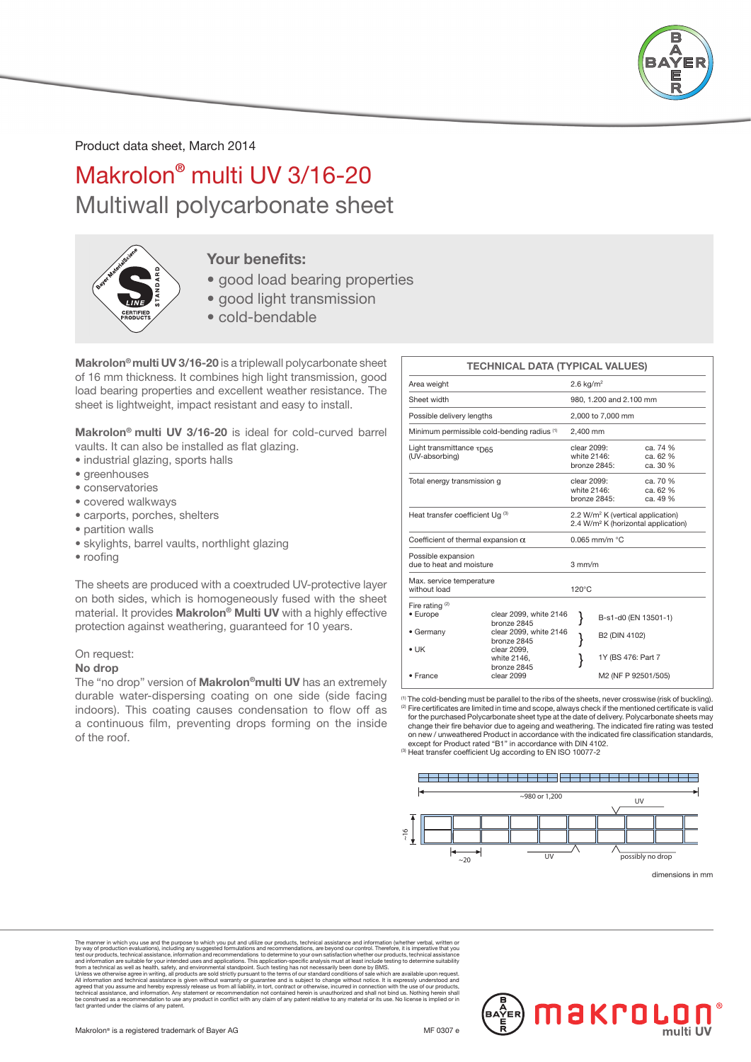

Product data sheet, March 2014

# Makrolon® multi UV 3/16-20 Multiwall polycarbonate sheet



### Your benefits:

- good load bearing properties
- good light transmission
- cold-bendable

Makrolon® multi UV 3/16-20 is a triplewall polycarbonate sheet of 16 mm thickness. It combines high light transmission, good load bearing properties and excellent weather resistance. The sheet is lightweight, impact resistant and easy to install.

Makrolon® multi UV 3/16-20 is ideal for cold-curved barrel vaults. It can also be installed as flat glazing.

- industrial glazing, sports halls
- greenhouses
- conservatories
- covered walkways
- carports, porches, shelters
- partition walls
- skylights, barrel vaults, northlight glazing
- roofing

The sheets are produced with a coextruded UV-protective layer on both sides, which is homogeneously fused with the sheet material. It provides Makrolon<sup>®</sup> Multi UV with a highly effective protection against weathering, guaranteed for 10 years.

#### On request:

#### No drop

The "no drop" version of Makrolon®multi UV has an extremely durable water-dispersing coating on one side (side facing indoors). This coating causes condensation to flow off as a continuous film, preventing drops forming on the inside of the roof.

|                                                            | <b>TECHNICAL DATA (TYPICAL VALUES)</b>                                         |  |                                                                                                  |  |  |  |  |
|------------------------------------------------------------|--------------------------------------------------------------------------------|--|--------------------------------------------------------------------------------------------------|--|--|--|--|
| Area weight                                                |                                                                                |  | 2.6 $kg/m2$                                                                                      |  |  |  |  |
| Sheet width                                                |                                                                                |  | 980, 1,200 and 2,100 mm                                                                          |  |  |  |  |
| Possible delivery lengths                                  |                                                                                |  | 2,000 to 7,000 mm                                                                                |  |  |  |  |
| Minimum permissible cold-bending radius (1)                |                                                                                |  | 2.400 mm                                                                                         |  |  |  |  |
| Light transmittance $\tau_{\text{D65}}$<br>(UV-absorbing)  |                                                                                |  | clear 2099:<br>ca. 74 %<br>white 2146:<br>ca. 62 %<br>bronze 2845:<br>ca. 30 %                   |  |  |  |  |
| Total energy transmission g                                |                                                                                |  | clear 2099:<br>ca. 70 %<br>white 2146:<br>ca. 62 %<br>bronze 2845:<br>ca. 49 %                   |  |  |  |  |
| Heat transfer coefficient Ug (3)                           |                                                                                |  | 2.2 W/m <sup>2</sup> K (vertical application)<br>2.4 W/m <sup>2</sup> K (horizontal application) |  |  |  |  |
| Coefficient of thermal expansion $\alpha$                  |                                                                                |  | $0.065$ mm/m $°C$                                                                                |  |  |  |  |
| Possible expansion<br>due to heat and moisture             |                                                                                |  | $3 \text{ mm/m}$                                                                                 |  |  |  |  |
| Max. service temperature<br>without load                   |                                                                                |  | $120^{\circ}$ C                                                                                  |  |  |  |  |
| Fire rating $(2)$<br>• Europe<br>• Germany<br>$\bullet$ UK | clear 2099, white 2146<br>bronze 2845<br>clear 2099, white 2146<br>bronze 2845 |  | B-s1-d0 (EN 13501-1)<br>B2 (DIN 4102)                                                            |  |  |  |  |
| • France                                                   | clear 2099.<br>white 2146.<br>hronze 2845<br>clear 2099                        |  | 1Y (BS 476: Part 7<br>M2 (NF P 92501/505)                                                        |  |  |  |  |

(1) The cold-bending must be parallel to the ribs of the sheets, never crosswise (risk of buckling). (2) Fire certificates are limited in time and scope, always check if the mentioned certificate is valid for the purchased Polycarbonate sheet type at the date of delivery. Polycarbonate sheets may change their fire behavior due to ageing and weathering. The indicated fire rating was tested on new / unweathered Product in accordance with the indicated fire classification standards, except for Product rated "B1" in accordance with DIN 4102.

(3) Heat transfer coefficient Ug according to EN ISO 10077-2



dimensions in mm

The manner in which you use and the purpose to which you put and utilize our products, technical assistance and information explaned to the step of production evaluations, including any suggested formulations and recommend be construed as a recommendation to use any product in conflict with any claim of any patent relative to any material or its use. No license is implied or in fact granted under the claims of any patent.